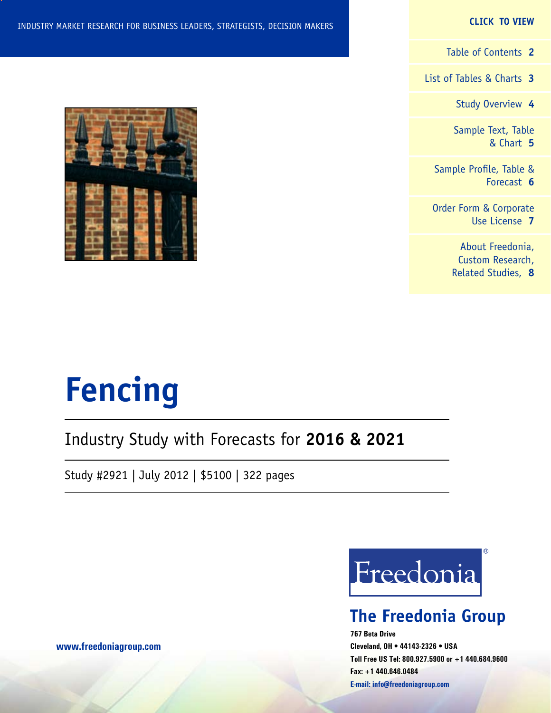#### **CLICK TO VIEW**

[Table of Contents](#page-1-0) **2**

[List of Tables & Charts](#page-2-0) **3**

[Study Overview](#page-3-0) **4**

[Sample Text, Table](#page-4-0) [& Chart](#page-4-0) **5**

[Sample Profile, Table &](#page-5-0) [Forecast](#page-5-0) **6**

[Order Form & Corporate](#page-6-0) [Use License](#page-6-0) **7**

> [About Freedonia,](#page-7-0) [Custom Research,](#page-7-0) [Related Studies,](#page-7-0) **8**

INDUSTRY MARKET RESEARCH FOR BUSINESS LEADERS, STRATEGISTS, DECISION MAKERS



# Industry Study with Forecasts for **2016 & 2021**

Study #2921 | July 2012 | \$5100 | 322 pages



# **The Freedonia Group**

**767 Beta Drive Cleveland, OH • 44143-2326 • USA Toll Free US Tel: 800.927.5900 or +1 440.684.9600 Fax: +1 440.646.0484 E-mail: [info@freedoniagroup.com](mailto:info@freedoniagroup.com)**

**[www.freedoniagroup.com](http://www.freedoniagroup.com/Home.aspx?ReferrerId=FM-Bro)**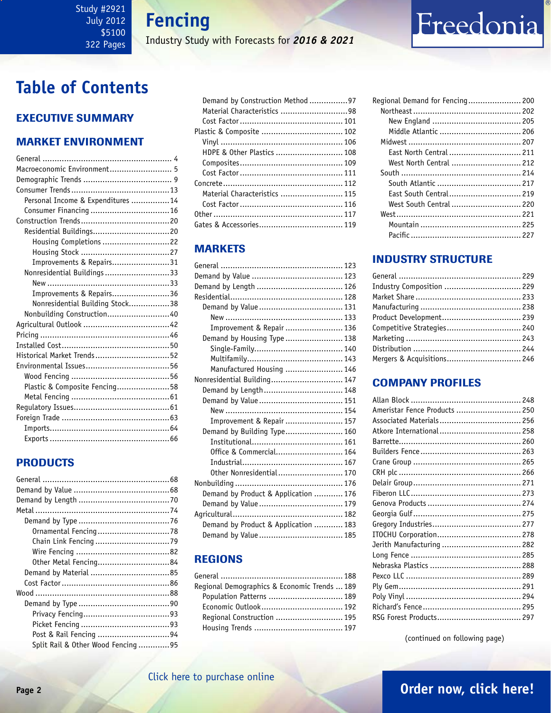**Fencing**

Industry Study with Forecasts for *2016 & 2021*

# <span id="page-1-0"></span>**Table of Contents**

### Executive Summary

### Market EnvironmenT

| Macroeconomic Environment 5       |
|-----------------------------------|
|                                   |
|                                   |
| Personal Income & Expenditures 14 |
|                                   |
|                                   |
| Residential Buildings20           |
| Housing Completions 22            |
|                                   |
| Improvements & Repairs31          |
| Nonresidential Buildings 33       |
|                                   |
| Improvements & Repairs36          |
| Nonresidential Building Stock38   |
| Nonbuilding Construction40        |
|                                   |
|                                   |
|                                   |
| Historical Market Trends52        |
|                                   |
|                                   |
| Plastic & Composite Fencing58     |
|                                   |
|                                   |
|                                   |
|                                   |
|                                   |

### PRODUCTS

| Other Metal Fencing84             |  |
|-----------------------------------|--|
|                                   |  |
|                                   |  |
|                                   |  |
|                                   |  |
|                                   |  |
|                                   |  |
| Post & Rail Fencing 94            |  |
| Split Rail & Other Wood Fencing95 |  |

| Demand by Construction Method 97 |  |
|----------------------------------|--|
| Material Characteristics 98      |  |
|                                  |  |
|                                  |  |
|                                  |  |
| HDPE & Other Plastics  108       |  |
|                                  |  |
|                                  |  |
|                                  |  |
| Material Characteristics  115    |  |
|                                  |  |
|                                  |  |
|                                  |  |
|                                  |  |

### **MARKETS**

| Improvement & Repair  136            |  |
|--------------------------------------|--|
| Demand by Housing Type  138          |  |
|                                      |  |
|                                      |  |
| Manufactured Housing  146            |  |
| Nonresidential Building 147          |  |
| Demand by Length 148                 |  |
| Demand by Value  151                 |  |
|                                      |  |
| Improvement & Repair  157            |  |
| Demand by Building Type 160          |  |
|                                      |  |
| Office & Commercial 164              |  |
|                                      |  |
| Other Nonresidential 170             |  |
|                                      |  |
| Demand by Product & Application  176 |  |
|                                      |  |
|                                      |  |
| Demand by Product & Application  183 |  |
|                                      |  |

### REGIONS

| Regional Demographics & Economic Trends  189 |  |
|----------------------------------------------|--|
| Population Patterns  189                     |  |
|                                              |  |
| Regional Construction  195                   |  |
|                                              |  |
|                                              |  |

| Regional Demand for Fencing 200 |  |
|---------------------------------|--|
|                                 |  |
|                                 |  |
| Middle Atlantic  206            |  |
|                                 |  |
| East North Central  211         |  |
| West North Central  212         |  |
|                                 |  |
|                                 |  |
| East South Central 219          |  |
| West South Central  220         |  |
|                                 |  |
|                                 |  |
|                                 |  |

Freedonia

### INDUSTRY STRUCTURE

| Industry Composition  229  |  |
|----------------------------|--|
|                            |  |
|                            |  |
|                            |  |
| Competitive Strategies 240 |  |
|                            |  |
|                            |  |
|                            |  |
|                            |  |

### Company Profiles

| Ameristar Fence Products  250 |  |
|-------------------------------|--|
| Associated Materials 256      |  |
|                               |  |
|                               |  |
|                               |  |
|                               |  |
|                               |  |
|                               |  |
|                               |  |
|                               |  |
|                               |  |
|                               |  |
|                               |  |
| Jerith Manufacturing  282     |  |
|                               |  |
|                               |  |
|                               |  |
|                               |  |
|                               |  |
|                               |  |
|                               |  |

(continued on following page)

### **Page 2 [Order now, click here!](#page-6-0)** [Click here to purchase online](http://www.freedoniagroup.com/DocumentDetails.aspx?Referrerid=FM-Bro&StudyID=2921)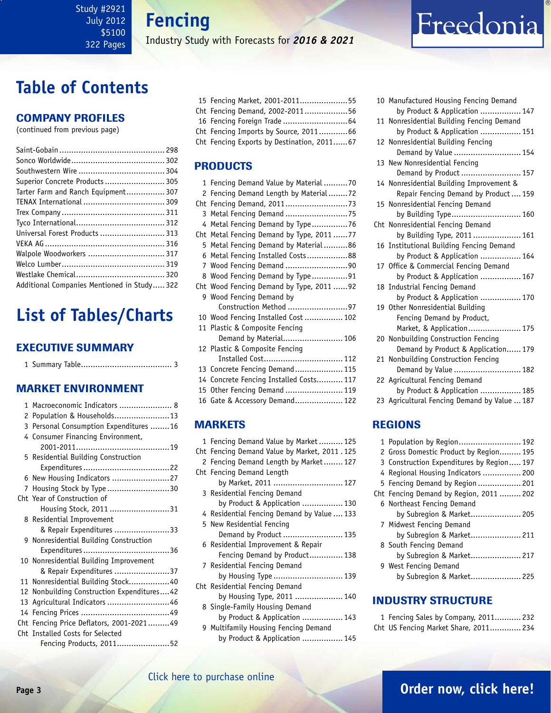<span id="page-2-0"></span>Study #2921 July 2012 \$5100 322 Pages

**Fencing**

Industry Study with Forecasts for *2016 & 2021*

# **Table of Contents**

### Company Profiles

(continued from previous page)

| Superior Concrete Products  305            |  |
|--------------------------------------------|--|
| Tarter Farm and Ranch Equipment 307        |  |
|                                            |  |
|                                            |  |
|                                            |  |
| Universal Forest Products  313             |  |
|                                            |  |
|                                            |  |
|                                            |  |
|                                            |  |
| Additional Companies Mentioned in Study322 |  |

# **List of Tables/Charts**

### Executive Summary

1 Summary Table...................................... 3

### Market EnvironmenT

|   | 1 Macroeconomic Indicators  8              |
|---|--------------------------------------------|
| 2 | Population & Households13                  |
|   | 3 Personal Consumption Expenditures 16     |
|   | 4 Consumer Financing Environment,          |
|   |                                            |
|   | 5 Residential Building Construction        |
|   |                                            |
|   | 6 New Housing Indicators 27                |
| 7 | Housing Stock by Type 30                   |
|   | Cht Year of Construction of                |
|   | Housing Stock, 2011 31                     |
|   | 8 Residential Improvement                  |
|   | & Repair Expenditures 33                   |
|   | 9 Nonresidential Building Construction     |
|   |                                            |
|   | 10 Nonresidential Building Improvement     |
|   | & Repair Expenditures 37                   |
|   | 11 Nonresidential Building Stock40         |
|   | 12 Nonbuilding Construction Expenditures42 |
|   | 13 Agricultural Indicators 46              |
|   |                                            |
|   | Cht Fencing Price Deflators, 2001-202149   |
|   | Cht Installed Costs for Selected           |
|   | Fencing Products, 201152                   |

|  | 15 Fencing Market, 2001-201155             |  |
|--|--------------------------------------------|--|
|  | Cht Fencing Demand, 2002-201156            |  |
|  |                                            |  |
|  | Cht Fencing Imports by Source, 201166      |  |
|  | Cht Fencing Exports by Destination, 201167 |  |

### PRODUCTS

|   | 1 Fencing Demand Value by Material70                                    |  |
|---|-------------------------------------------------------------------------|--|
| 2 | Fencing Demand Length by Material72                                     |  |
|   |                                                                         |  |
| 3 | Metal Fencing Demand 75                                                 |  |
|   | 4 Metal Fencing Demand by Type76                                        |  |
|   | Cht Metal Fencing Demand by Type, 2011 77                               |  |
|   | 5 Metal Fencing Demand by Material86                                    |  |
|   | 6 Metal Fencing Installed Costs88                                       |  |
|   | 7 Wood Fencing Demand 90                                                |  |
|   | 8 Wood Fencing Demand by Type91                                         |  |
|   | Cht Wood Fencing Demand by Type, 2011 92                                |  |
|   | 9 Wood Fencing Demand by                                                |  |
|   | Construction Method 97                                                  |  |
|   | 10 Wood Fencing Installed Cost  102                                     |  |
|   | 11 Plastic & Composite Fencing                                          |  |
|   | Demand by Material 106                                                  |  |
|   | 12 Plastic & Composite Fencing                                          |  |
|   |                                                                         |  |
|   | Installed Cost 112                                                      |  |
|   |                                                                         |  |
|   | 13 Concrete Fencing Demand 115                                          |  |
|   | 14 Concrete Fencing Installed Costs 117<br>15 Other Fencing Demand  119 |  |
|   | 16 Gate & Accessory Demand 122                                          |  |

### **MARKETS**

| 1 Fencing Demand Value by Market 125         |
|----------------------------------------------|
| Cht Fencing Demand Value by Market, 2011.125 |
| 2 Fencing Demand Length by Market 127        |
| Cht Fencing Demand Length                    |
| by Market, 2011  127                         |
| 3 Residential Fencing Demand                 |
| by Product & Application  130                |
| 4 Residential Fencing Demand by Value  133   |
| 5 New Residential Fencing                    |
| Demand by Product  135                       |
| 6 Residential Improvement & Repair           |
| Fencing Demand by Product 138                |
| 7 Residential Fencing Demand                 |
| by Housing Type  139                         |
| Cht Residential Fencing Demand               |
| by Housing Type, 2011  140                   |
| 8 Single-Family Housing Demand               |
| by Product & Application  143                |
| 9 Multifamily Housing Fencing Demand         |
| by Product & Application  145                |
|                                              |

|  | 10 Manufactured Housing Fencing Demand       |
|--|----------------------------------------------|
|  | by Product & Application  147                |
|  | 11 Nonresidential Building Fencing Demand    |
|  | by Product & Application  151                |
|  | 12 Nonresidential Building Fencing           |
|  | Demand by Value  154                         |
|  | 13 New Nonresidential Fencing                |
|  | Demand by Product  157                       |
|  | 14 Nonresidential Building Improvement &     |
|  | Repair Fencing Demand by Product  159        |
|  | 15 Nonresidential Fencing Demand             |
|  | by Building Type 160                         |
|  | Cht Nonresidential Fencing Demand            |
|  | by Building Type, 2011 161                   |
|  | 16 Institutional Building Fencing Demand     |
|  | by Product & Application  164                |
|  | 17 Office & Commercial Fencing Demand        |
|  | by Product & Application  167                |
|  | 18 Industrial Fencing Demand                 |
|  | by Product & Application  170                |
|  | 19 Other Nonresidential Building             |
|  | Fencing Demand by Product,                   |
|  | Market, & Application 175                    |
|  | 20 Nonbuilding Construction Fencing          |
|  | Demand by Product & Application 179          |
|  | 21 Nonbuilding Construction Fencing          |
|  | Demand by Value  182                         |
|  | 22 Agricultural Fencing Demand               |
|  | by Product & Application  185                |
|  | 23 Agricultural Fencing Demand by Value  187 |

Freedonia

### REGIONS

| 1 Population by Region 192                |
|-------------------------------------------|
| 2 Gross Domestic Product by Region 195    |
| 3 Construction Expenditures by Region 197 |
| 4 Regional Housing Indicators  200        |
| 5 Fencing Demand by Region  201           |
| Cht Fencing Demand by Region, 2011  202   |
| 6 Northeast Fencing Demand                |
| by Subregion & Market 205                 |
| 7 Midwest Fencing Demand                  |
| by Subregion & Market 211                 |
| 8 South Fencing Demand                    |
| by Subregion & Market 217                 |
| 9 West Fencing Demand                     |
| by Subregion & Market 225                 |
|                                           |

### INDUSTRY STRUCTURE

| 1 Fencing Sales by Company, 2011 232  |  |
|---------------------------------------|--|
| Cht US Fencing Market Share, 2011 234 |  |

## [Click here to purchase online](http://www.freedoniagroup.com/DocumentDetails.aspx?Referrerid=FM-Bro&StudyID=2921)

# **Page 3 [Order now, click here!](#page-6-0)**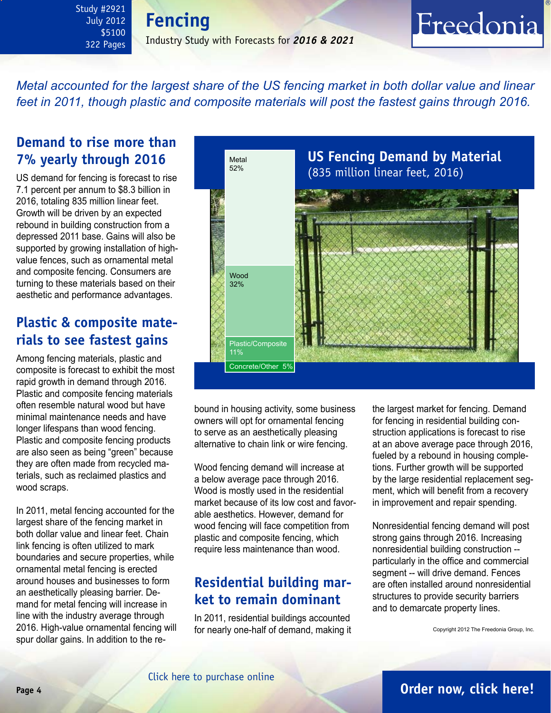<span id="page-3-0"></span>Study #2921 July 2012 \$5100 322 Pages **Fencing** Industry Study with Forecasts for *2016 & 2021*

# Freedonia

*Metal accounted for the largest share of the US fencing market in both dollar value and linear feet in 2011, though plastic and composite materials will post the fastest gains through 2016.*

### **Demand to rise more than 7% yearly through 2016**

US demand for fencing is forecast to rise 7.1 percent per annum to \$8.3 billion in 2016, totaling 835 million linear feet. Growth will be driven by an expected rebound in building construction from a depressed 2011 base. Gains will also be supported by growing installation of highvalue fences, such as ornamental metal and composite fencing. Consumers are turning to these materials based on their aesthetic and performance advantages.

## **Plastic & composite materials to see fastest gains**

Among fencing materials, plastic and composite is forecast to exhibit the most rapid growth in demand through 2016. Plastic and composite fencing materials often resemble natural wood but have minimal maintenance needs and have longer lifespans than wood fencing. Plastic and composite fencing products are also seen as being "green" because they are often made from recycled materials, such as reclaimed plastics and wood scraps.

In 2011, metal fencing accounted for the largest share of the fencing market in both dollar value and linear feet. Chain link fencing is often utilized to mark boundaries and secure properties, while ornamental metal fencing is erected around houses and businesses to form an aesthetically pleasing barrier. Demand for metal fencing will increase in line with the industry average through 2016. High-value ornamental fencing will spur dollar gains. In addition to the re-



bound in housing activity, some business owners will opt for ornamental fencing to serve as an aesthetically pleasing alternative to chain link or wire fencing.

Wood fencing demand will increase at a below average pace through 2016. Wood is mostly used in the residential market because of its low cost and favorable aesthetics. However, demand for wood fencing will face competition from plastic and composite fencing, which require less maintenance than wood.

# **Residential building market to remain dominant**

In 2011, residential buildings accounted for nearly one-half of demand, making it the largest market for fencing. Demand for fencing in residential building construction applications is forecast to rise at an above average pace through 2016, fueled by a rebound in housing completions. Further growth will be supported by the large residential replacement segment, which will benefit from a recovery in improvement and repair spending.

Nonresidential fencing demand will post strong gains through 2016. Increasing nonresidential building construction - particularly in the office and commercial segment -- will drive demand. Fences are often installed around nonresidential structures to provide security barriers and to demarcate property lines.

Copyright 2012 The Freedonia Group, Inc.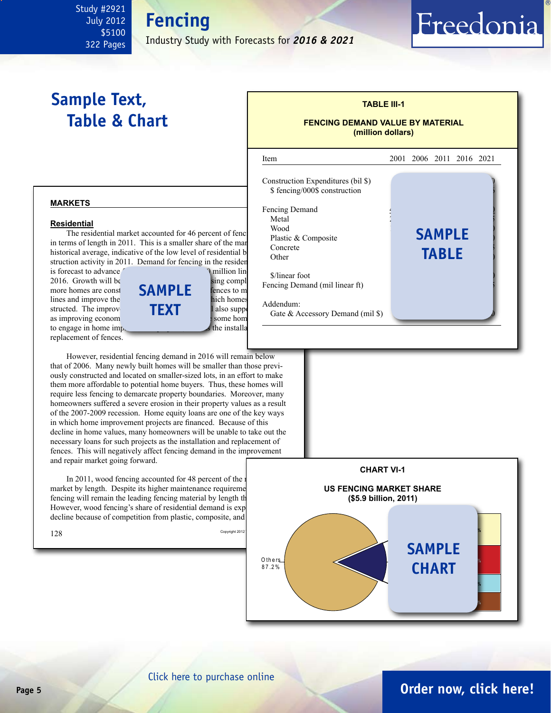#### <span id="page-4-0"></span>Study #2921 July 2012 \$5100 322 Pages

Industry Study with Forecasts for *2016 & 2021*

# **Sample Text, Table & Chart**

# **FENCING DEMAND VALUE BY MATERIAL**

Freedonia

**(million dollars)**

**TABLE III-1**



**markets**

#### **Residential**

**The residential market accounted for 46 percent of fence demanded Wood** The residential market accounted for 46 percent of fenc in terms of length in 2011. This is a smaller share of the market than the concrete historical average, indicative of the low level of residential  $\frac{1}{\text{Other}}$ struction activity in 2011. Demand for fencing in the resider

replacement of fences.



**Fencing**

However, residential fencing demand in 2016 will remain below that of 2006. Many newly built homes will be smaller than those previously constructed and located on smaller-sized lots, in an effort to make them more affordable to potential home buyers. Thus, these homes will require less fencing to demarcate property boundaries. Moreover, many homeowners suffered a severe erosion in their property values as a result of the 2007-2009 recession. Home equity loans are one of the key ways in which home improvement projects are financed. Because of this decline in home values, many homeowners will be unable to take out the necessary loans for such projects as the installation and replacement of fences. This will negatively affect fencing demand in the improvement and repair market going forward.

In 2011, wood fencing accounted for 48 percent of the r market by length. Despite its higher maintenance requirements, words, we have the maintenance requirements, words, we have the maintenance requirements. fencing will remain the leading fencing material by length the However, wood fencing's share of residential demand is exp decline because of competition from plastic, composite, and



## **Page 5 [Order now, click here!](#page-6-0)**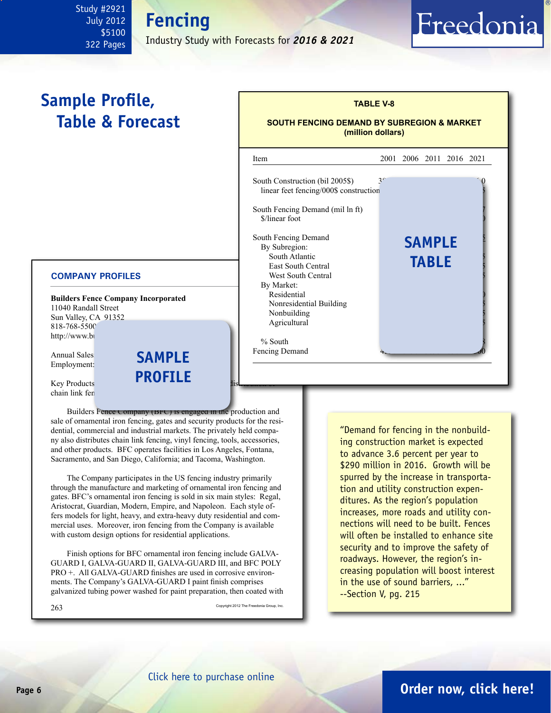<span id="page-5-0"></span>Study #2921 July 2012 \$5100 322 Pages

# **Fencing** Industry Study with Forecasts for *2016 & 2021*

# **Sample Profile, Table & Forecast**

#### **COMPANY PROFILES**

**Builders Fence Company Incorporated** 11040 Randall Street Sun Valley, CA 91352 818-768-5500 http://www.bi

Annual Sales<br>Employment: **SAMP** Employment:

Key Products chain link fen

Builders Fence Company (BFC) is engaged in the production and sale of ornamental iron fencing, gates and security products for the residential, commercial and industrial markets. The privately held company also distributes chain link fencing, vinyl fencing, tools, accessories, and other products. BFC operates facilities in Los Angeles, Fontana, Sacramento, and San Diego, California; and Tacoma, Washington.

**profile**

The Company participates in the US fencing industry primarily through the manufacture and marketing of ornamental iron fencing and gates. BFC's ornamental iron fencing is sold in six main styles: Regal, Aristocrat, Guardian, Modern, Empire, and Napoleon. Each style offers models for light, heavy, and extra-heavy duty residential and commercial uses. Moreover, iron fencing from the Company is available with custom design options for residential applications.

Finish options for BFC ornamental iron fencing include GALVA-GUARD I, GALVA-GUARD II, GALVA-GUARD III, and BFC POLY PRO +. All GALVA-GUARD finishes are used in corrosive environments. The Company's GALVA-GUARD I paint finish comprises galvanized tubing power washed for paint preparation, then coated with

 $263 \,$  Copyright 2012 The Freedonia Group, Inc.

| <b>SOUTH FENCING DEMAND BY SUBREGION &amp; MARKET</b><br>(million dollars) |                |  |               |                     |  |
|----------------------------------------------------------------------------|----------------|--|---------------|---------------------|--|
| Item                                                                       | 2001           |  |               | 2006 2011 2016 2021 |  |
| South Construction (bil 2005\$)<br>linear feet fencing/000\$ construction  | 3 <sup>c</sup> |  |               |                     |  |
| South Fencing Demand (mil ln ft)<br>\$/linear foot                         |                |  |               |                     |  |
| South Fencing Demand<br>By Subregion:                                      |                |  | <b>SAMPLE</b> |                     |  |
| South Atlantic<br><b>East South Central</b>                                |                |  | <b>TABLE</b>  |                     |  |
| <b>West South Central</b>                                                  |                |  |               |                     |  |
| By Market:                                                                 |                |  |               |                     |  |
| Residential                                                                |                |  |               |                     |  |
| Nonresidential Building<br>Nonbuilding                                     |                |  |               |                     |  |
| Agricultural                                                               |                |  |               |                     |  |
| $%$ South                                                                  |                |  |               |                     |  |
| Fencing Demand                                                             |                |  |               |                     |  |

**TABLE V-8**

Freedonia

"Demand for fencing in the nonbuilding construction market is expected to advance 3.6 percent per year to \$290 million in 2016. Growth will be spurred by the increase in transportation and utility construction expenditures. As the region's population increases, more roads and utility connections will need to be built. Fences will often be installed to enhance site security and to improve the safety of roadways. However, the region's increasing population will boost interest in the use of sound barriers, ..." --Section V, pg. 215

# **Page 6 [Order now, click here!](#page-6-0)**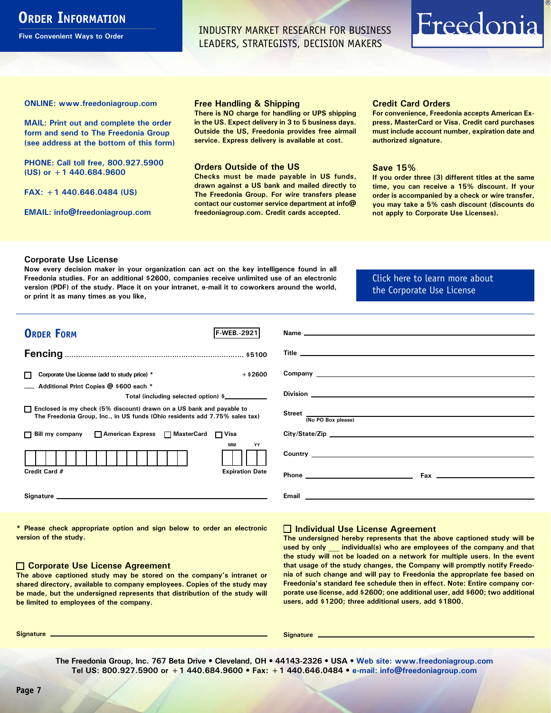# <span id="page-6-0"></span>**ORDER INFORMATION**

**Five Convenient Ways to Order**

INDUSTRY MARKET RESEARCH FOR BUSINESS LEADERS, STRATEGISTS, DECISION MAKERS

# Freedonia

**ONLINE: [www.freedoniagroup.com](http://www.freedoniagroup.com/DocumentDetails.aspx?Referrerid=FM-Bro&StudyID=2921)**

**MAIL: Print out and complete the order form and send to The Freedonia Group (see address at the bottom of this form)**

**PHONE: Call toll free, 800.927.5900 (US) or +1 440.684.9600**

**FAX: +1 440.646.0484 (US)**

**EMAIL: [info@freedoniagroup.com](mailto:info@freedoniagroup.com)**

#### **Free Handling & Shipping**

**There is NO charge for handling or UPS shipping in the US. Expect delivery in 3 to 5 business days. Outside the US, Freedonia provides free airmail service. Express delivery is available at cost.**

#### **Orders Outside of the US**

**Checks must be made payable in US funds, drawn against a US bank and mailed directly to The Freedonia Group. For wire transfers please contact our customer service department at info@ freedoniagroup.com. Credit cards accepted.**

#### **Credit Card Orders**

**For convenience, Freedonia accepts American Express, MasterCard or Visa. Credit card purchases must include account number, expiration date and authorized signature.**

#### **Save 15%**

**If you order three (3) different titles at the same time, you can receive a 15% discount. If your order is accompanied by a check or wire transfer, you may take a 5% cash discount (discounts do not apply to Corporate Use Licenses).**

#### **Corporate Use License**

**Now every decision maker in your organization can act on the key intelligence found in all Freedonia studies. For an additional \$2600, companies receive unlimited use of an electronic version (PDF) of the study. Place it on your intranet, e-mail it to coworkers around the world, or print it as many times as you like,** 

#### [Click here to learn more about](http://www.freedoniagroup.com/pdf/FreedoniaCULBro.pdf)  [the Corporate Use License](http://www.freedoniagroup.com/pdf/FreedoniaCULBro.pdf)

| <b>ORDER FORM</b><br>lf-WEB. 2921                                                                                                                     |                                                                                                                                                                                                                                    |
|-------------------------------------------------------------------------------------------------------------------------------------------------------|------------------------------------------------------------------------------------------------------------------------------------------------------------------------------------------------------------------------------------|
|                                                                                                                                                       |                                                                                                                                                                                                                                    |
|                                                                                                                                                       |                                                                                                                                                                                                                                    |
|                                                                                                                                                       |                                                                                                                                                                                                                                    |
| $+$ \$2600<br>Corporate Use License (add to study price) *                                                                                            | Company <u>example and the company</u> and the company of the company of the company of the company of the company of the company of the company of the company of the company of the company of the company of the company of the |
| Additional Print Copies @ \$600 each *                                                                                                                |                                                                                                                                                                                                                                    |
| Total (including selected option) \$____________                                                                                                      | Division <b>Division Division Division Division Division Division Division Division Division Division Division Division Division Division Division Division Division Division Division Div</b>                                     |
| □ Enclosed is my check (5% discount) drawn on a US bank and payable to<br>The Freedonia Group, Inc., in US funds (Ohio residents add 7.75% sales tax) | Street (No PO Box please)                                                                                                                                                                                                          |
|                                                                                                                                                       |                                                                                                                                                                                                                                    |
| □ Bill my company □ American Express □ MasterCard □ Visa                                                                                              | City/State/Zip                                                                                                                                                                                                                     |
| MМ<br>YY                                                                                                                                              |                                                                                                                                                                                                                                    |
|                                                                                                                                                       |                                                                                                                                                                                                                                    |
| Credit Card #<br><b>Expiration Date</b>                                                                                                               |                                                                                                                                                                                                                                    |
|                                                                                                                                                       |                                                                                                                                                                                                                                    |
|                                                                                                                                                       |                                                                                                                                                                                                                                    |
|                                                                                                                                                       |                                                                                                                                                                                                                                    |

**\* Please check appropriate option and sign below to order an electronic version of the study.**

#### **Corporate Use License Agreement**

**The above captioned study may be stored on the company's intranet or shared directory, available to company employees. Copies of the study may be made, but the undersigned represents that distribution of the study will be limited to employees of the company.**

#### **Individual Use License Agreement**

**The undersigned hereby represents that the above captioned study will be used by only \_\_\_ individual(s) who are employees of the company and that the study will not be loaded on a network for multiple users. In the event that usage of the study changes, the Company will promptly notify Freedonia of such change and will pay to Freedonia the appropriate fee based on Freedonia's standard fee schedule then in effect. Note: Entire company corporate use license, add \$2600; one additional user, add \$600; two additional users, add \$1200; three additional users, add \$1800.**

**Signature Signature**

**The Freedonia Group, Inc. 767 Beta Drive • Cleveland, OH • 44143-2326 • USA • [Web site: www.freedoniagroup.com](http://www.freedoniagroup.com/Home.aspx?ReferrerId=FM-Bro) Tel US: 800.927.5900 or +1 440.684.9600 • Fax: +1 440.646.0484 • [e-mail: info@freedoniagroup.com](mailto:info@freedoniagroup.com)**